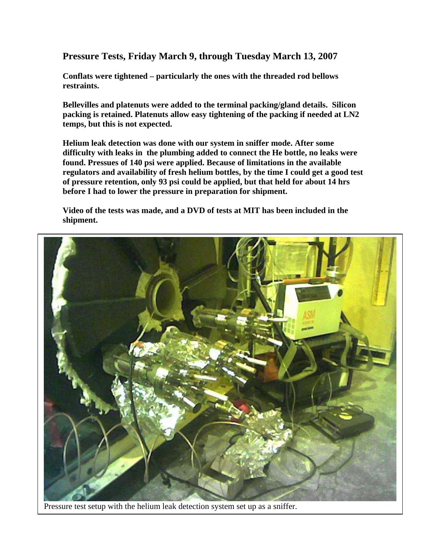**Pressure Tests, Friday March 9, through Tuesday March 13, 2007** 

**Conflats were tightened – particularly the ones with the threaded rod bellows restraints.** 

**Bellevilles and platenuts were added to the terminal packing/gland details. Silicon packing is retained. Platenuts allow easy tightening of the packing if needed at LN2 temps, but this is not expected.** 

**Helium leak detection was done with our system in sniffer mode. After some difficulty with leaks in the plumbing added to connect the He bottle, no leaks were found. Pressues of 140 psi were applied. Because of limitations in the available regulators and availability of fresh helium bottles, by the time I could get a good test of pressure retention, only 93 psi could be applied, but that held for about 14 hrs before I had to lower the pressure in preparation for shipment.** 

**Video of the tests was made, and a DVD of tests at MIT has been included in the shipment.** 



Pressure test setup with the helium leak detection system set up as a sniffer.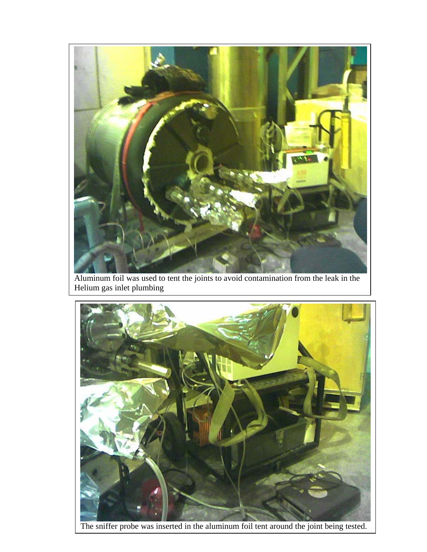

Aluminum foil was used to tent the joints to avoid contamination from the leak in the Helium gas inlet plumbing



The sniffer probe was inserted in the aluminum foil tent around the joint being tested.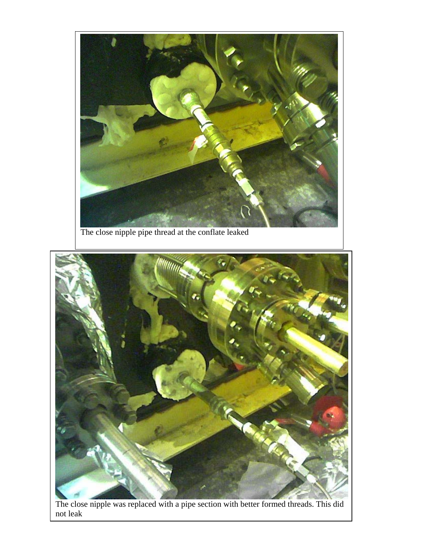

The close nipple pipe thread at the conflate leaked



The close nipple was replaced with a pipe section with better formed threads. This did not leak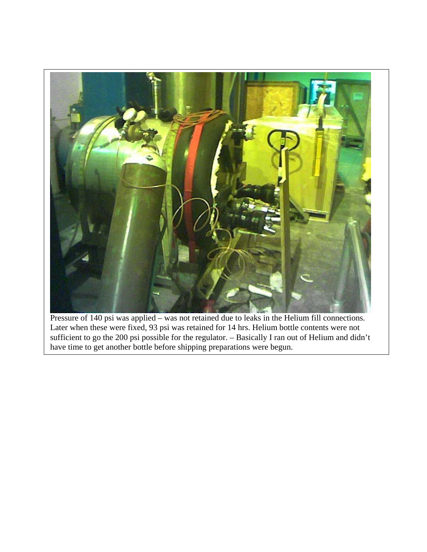

Pressure of 140 psi was applied – was not retained due to leaks in the Helium fill connections. Later when these were fixed, 93 psi was retained for 14 hrs. Helium bottle contents were not sufficient to go the 200 psi possible for the regulator. – Basically I ran out of Helium and didn't have time to get another bottle before shipping preparations were begun.